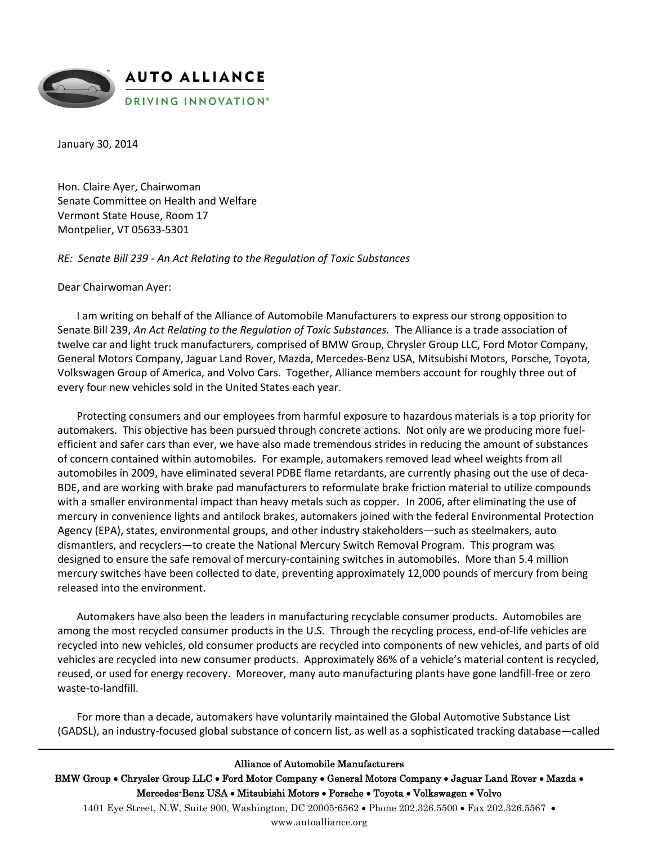

January 30, 2014

Hon. Claire Ayer, Chairwoman Senate Committee on Health and Welfare Vermont State House, Room 17 Montpelier, VT 05633-5301

*RE: Senate Bill 239 - An Act Relating to the Regulation of Toxic Substances*

Dear Chairwoman Ayer:

I am writing on behalf of the Alliance of Automobile Manufacturers to express our strong opposition to Senate Bill 239, *An Act Relating to the Regulation of Toxic Substances.* The Alliance is a trade association of twelve car and light truck manufacturers, comprised of BMW Group, Chrysler Group LLC, Ford Motor Company, General Motors Company, Jaguar Land Rover, Mazda, Mercedes-Benz USA, Mitsubishi Motors, Porsche, Toyota, Volkswagen Group of America, and Volvo Cars. Together, Alliance members account for roughly three out of every four new vehicles sold in the United States each year.

Protecting consumers and our employees from harmful exposure to hazardous materials is a top priority for automakers. This objective has been pursued through concrete actions. Not only are we producing more fuelefficient and safer cars than ever, we have also made tremendous strides in reducing the amount of substances of concern contained within automobiles. For example, automakers removed lead wheel weights from all automobiles in 2009, have eliminated several PDBE flame retardants, are currently phasing out the use of deca-BDE, and are working with brake pad manufacturers to reformulate brake friction material to utilize compounds with a smaller environmental impact than heavy metals such as copper. In 2006, after eliminating the use of mercury in convenience lights and antilock brakes, automakers joined with the federal Environmental Protection Agency (EPA), states, environmental groups, and other industry stakeholders—such as steelmakers, auto dismantlers, and recyclers—to create the National Mercury Switch Removal Program. This program was designed to ensure the safe removal of mercury-containing switches in automobiles. More than 5.4 million mercury switches have been collected to date, preventing approximately 12,000 pounds of mercury from being released into the environment.

Automakers have also been the leaders in manufacturing recyclable consumer products. Automobiles are among the most recycled consumer products in the U.S. Through the recycling process, end-of-life vehicles are recycled into new vehicles, old consumer products are recycled into components of new vehicles, and parts of old vehicles are recycled into new consumer products. Approximately 86% of a vehicle's material content is recycled, reused, or used for energy recovery. Moreover, many auto manufacturing plants have gone landfill-free or zero waste-to-landfill.

For more than a decade, automakers have voluntarily maintained the Global Automotive Substance List (GADSL), an industry-focused global substance of concern list, as well as a sophisticated tracking database—called

## Alliance of Automobile Manufacturers

BMW Group • Chrysler Group LLC • Ford Motor Company • General Motors Company • Jaguar Land Rover • Mazda • Mercedes-Benz USA • Mitsubishi Motors • Porsche • Toyota • Volkswagen • Volvo

1401 Eye Street, N.W, Suite 900, Washington, DC 20005-6562 • Phone 202.326.5500 • Fax 202.326.5567 • www.autoalliance.org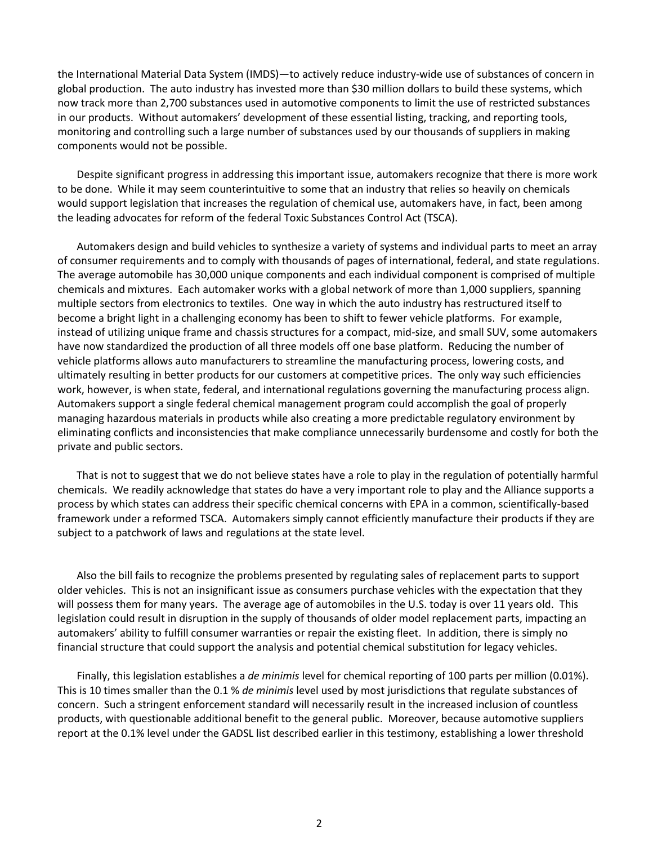the International Material Data System (IMDS)—to actively reduce industry-wide use of substances of concern in global production. The auto industry has invested more than \$30 million dollars to build these systems, which now track more than 2,700 substances used in automotive components to limit the use of restricted substances in our products. Without automakers' development of these essential listing, tracking, and reporting tools, monitoring and controlling such a large number of substances used by our thousands of suppliers in making components would not be possible.

Despite significant progress in addressing this important issue, automakers recognize that there is more work to be done. While it may seem counterintuitive to some that an industry that relies so heavily on chemicals would support legislation that increases the regulation of chemical use, automakers have, in fact, been among the leading advocates for reform of the federal Toxic Substances Control Act (TSCA).

Automakers design and build vehicles to synthesize a variety of systems and individual parts to meet an array of consumer requirements and to comply with thousands of pages of international, federal, and state regulations. The average automobile has 30,000 unique components and each individual component is comprised of multiple chemicals and mixtures. Each automaker works with a global network of more than 1,000 suppliers, spanning multiple sectors from electronics to textiles. One way in which the auto industry has restructured itself to become a bright light in a challenging economy has been to shift to fewer vehicle platforms. For example, instead of utilizing unique frame and chassis structures for a compact, mid-size, and small SUV, some automakers have now standardized the production of all three models off one base platform. Reducing the number of vehicle platforms allows auto manufacturers to streamline the manufacturing process, lowering costs, and ultimately resulting in better products for our customers at competitive prices. The only way such efficiencies work, however, is when state, federal, and international regulations governing the manufacturing process align. Automakers support a single federal chemical management program could accomplish the goal of properly managing hazardous materials in products while also creating a more predictable regulatory environment by eliminating conflicts and inconsistencies that make compliance unnecessarily burdensome and costly for both the private and public sectors.

That is not to suggest that we do not believe states have a role to play in the regulation of potentially harmful chemicals. We readily acknowledge that states do have a very important role to play and the Alliance supports a process by which states can address their specific chemical concerns with EPA in a common, scientifically-based framework under a reformed TSCA. Automakers simply cannot efficiently manufacture their products if they are subject to a patchwork of laws and regulations at the state level.

Also the bill fails to recognize the problems presented by regulating sales of replacement parts to support older vehicles. This is not an insignificant issue as consumers purchase vehicles with the expectation that they will possess them for many years. The average age of automobiles in the U.S. today is over 11 years old. This legislation could result in disruption in the supply of thousands of older model replacement parts, impacting an automakers' ability to fulfill consumer warranties or repair the existing fleet. In addition, there is simply no financial structure that could support the analysis and potential chemical substitution for legacy vehicles.

Finally, this legislation establishes a *de minimis* level for chemical reporting of 100 parts per million (0.01%). This is 10 times smaller than the 0.1 % *de minimis* level used by most jurisdictions that regulate substances of concern. Such a stringent enforcement standard will necessarily result in the increased inclusion of countless products, with questionable additional benefit to the general public. Moreover, because automotive suppliers report at the 0.1% level under the GADSL list described earlier in this testimony, establishing a lower threshold